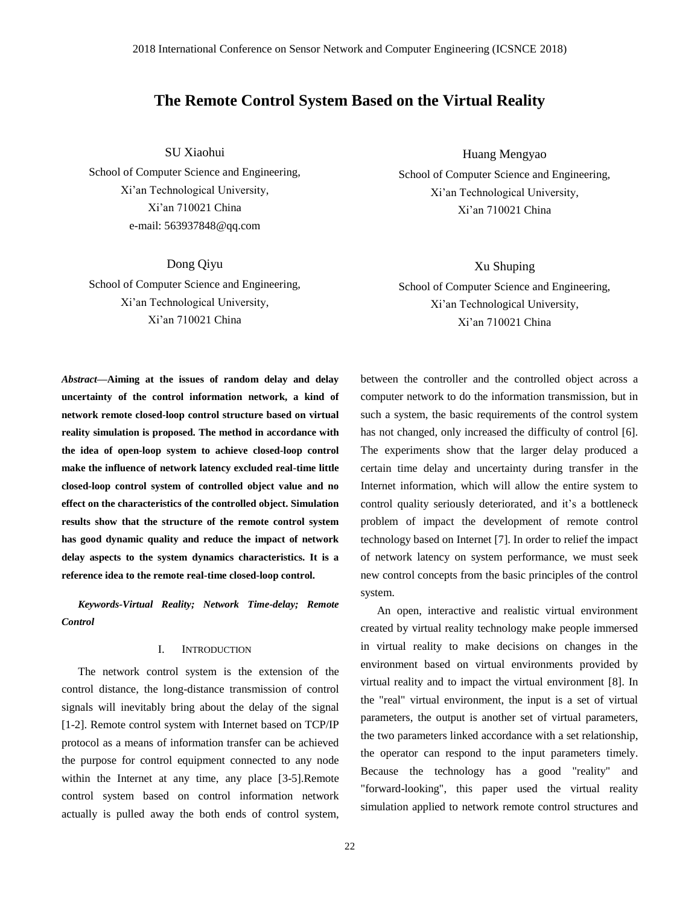### **The Remote Control System Based on the Virtual Reality**

SU Xiaohui

School of Computer Science and Engineering, Xi'an Technological University, Xi'an 710021 China e-mail: [563937848@qq.com](mailto:xusp686@163.com)

Dong Qiyu School of Computer Science and Engineering, Xi'an Technological University, Xi'an 710021 China

Huang Mengyao

School of Computer Science and Engineering, Xi'an Technological University, Xi'an 710021 China

Xu Shuping School of Computer Science and Engineering, Xi'an Technological University, Xi'an 710021 China

*Abstract—***Aiming at the issues of random delay and delay uncertainty of the control information network, a kind of network remote closed-loop control structure based on virtual reality simulation is proposed. The method in accordance with the idea of open-loop system to achieve closed-loop control make the influence of network latency excluded real-time little closed-loop control system of controlled object value and no effect on the characteristics of the controlled object. Simulation results show that the structure of the remote control system has good dynamic quality and reduce the impact of network delay aspects to the system dynamics characteristics. It is a reference idea to the remote real-time closed-loop control.**

*Keywords-Virtual Reality; Network Time-delay; Remote Control*

#### I. INTRODUCTION

The network control system is the extension of the control distance, the long-distance transmission of control signals will inevitably bring about the delay of the signal [1-2]. Remote control system with Internet based on TCP/IP protocol as a means of information transfer can be achieved the purpose for control equipment connected to any node within the Internet at any time, any place [3-5].Remote control system based on control information network actually is pulled away the both ends of control system,

between the controller and the controlled object across a computer network to do the information transmission, but in such a system, the basic requirements of the control system has not changed, only increased the difficulty of control [6]. The experiments show that the larger delay produced a certain time delay and uncertainty during transfer in the Internet information, which will allow the entire system to control quality seriously deteriorated, and it's a bottleneck problem of impact the development of remote control technology based on Internet [7]. In order to relief the impact of network latency on system performance, we must seek new control concepts from the basic principles of the control system.

An open, interactive and realistic virtual environment created by virtual reality technology make people immersed in virtual reality to make decisions on changes in the environment based on virtual environments provided by virtual reality and to impact the virtual environment [8]. In the "real" virtual environment, the input is a set of virtual parameters, the output is another set of virtual parameters, the two parameters linked accordance with a set relationship, the operator can respond to the input parameters timely. Because the technology has a good "reality" and "forward-looking", this paper used the virtual reality simulation applied to network remote control structures and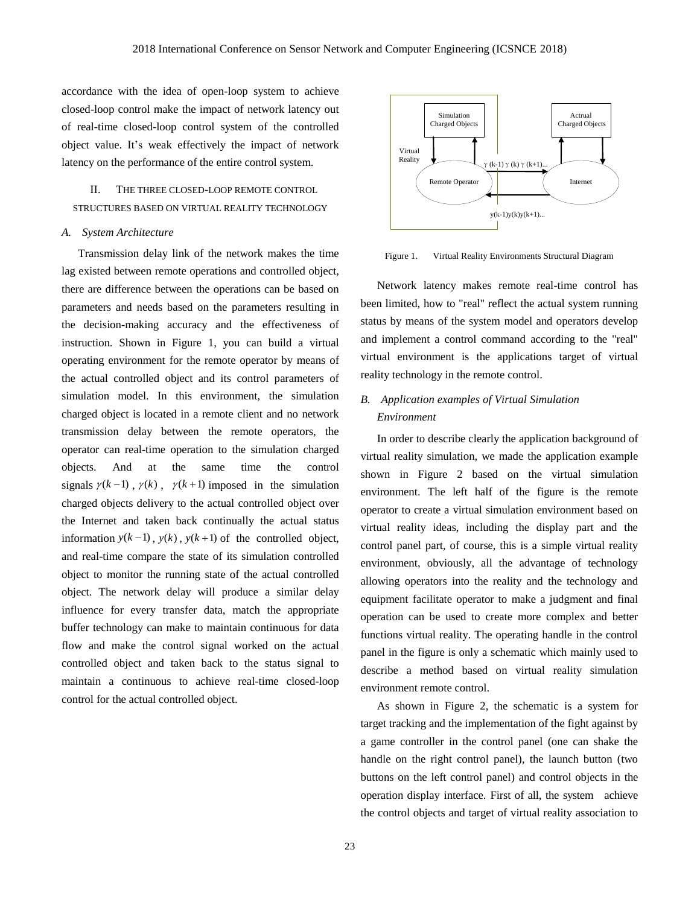accordance with the idea of open-loop system to achieve closed-loop control make the impact of network latency out of real-time closed-loop control system of the controlled object value. It's weak effectively the impact of network latency on the performance of the entire control system.

# THE THREE CLOSED-LOOP REMOTE CONTROL STRUCTURES BASED ON VIRTUAL REALITY TECHNOLOGY

#### *A. System Architecture*

Transmission delay link of the network makes the time lag existed between remote operations and controlled object, there are difference between the operations can be based on parameters and needs based on the parameters resulting in the decision-making accuracy and the effectiveness of instruction. Shown in Figure 1, you can build a virtual operating environment for the remote operator by means of the actual controlled object and its control parameters of simulation model. In this environment, the simulation charged object is located in a remote client and no network transmission delay between the remote operators, the operator can real-time operation to the simulation charged objects. And at the same time the control signals  $\gamma(k-1)$ ,  $\gamma(k)$ ,  $\gamma(k+1)$  imposed in the simulation charged objects delivery to the actual controlled object over the Internet and taken back continually the actual status information  $y(k-1)$ ,  $y(k)$ ,  $y(k+1)$  of the controlled object, and real-time compare the state of its simulation controlled object to monitor the running state of the actual controlled object. The network delay will produce a similar delay influence for every transfer data, match the appropriate buffer technology can make to maintain continuous for data flow and make the control signal worked on the actual controlled object and taken back to the status signal to maintain a continuous to achieve real-time closed-loop control for the actual controlled object.



Figure 1. Virtual Reality Environments Structural Diagram

Network latency makes remote real-time control has been limited, how to "real" reflect the actual system running status by means of the system model and operators develop and implement a control command according to the "real" virtual environment is the applications target of virtual reality technology in the remote control.

# *B. Application examples of Virtual Simulation Environment*

In order to describe clearly the application background of virtual reality simulation, we made the application example shown in Figure 2 based on the virtual simulation environment. The left half of the figure is the remote operator to create a virtual simulation environment based on virtual reality ideas, including the display part and the control panel part, of course, this is a simple virtual reality environment, obviously, all the advantage of technology allowing operators into the reality and the technology and equipment facilitate operator to make a judgment and final operation can be used to create more complex and better functions virtual reality. The operating handle in the control panel in the figure is only a schematic which mainly used to describe a method based on virtual reality simulation environment remote control.

As shown in Figure 2, the schematic is a system for target tracking and the implementation of the fight against by a game controller in the control panel (one can shake the handle on the right control panel), the launch button (two buttons on the left control panel) and control objects in the operation display interface. First of all, the system achieve the control objects and target of virtual reality association to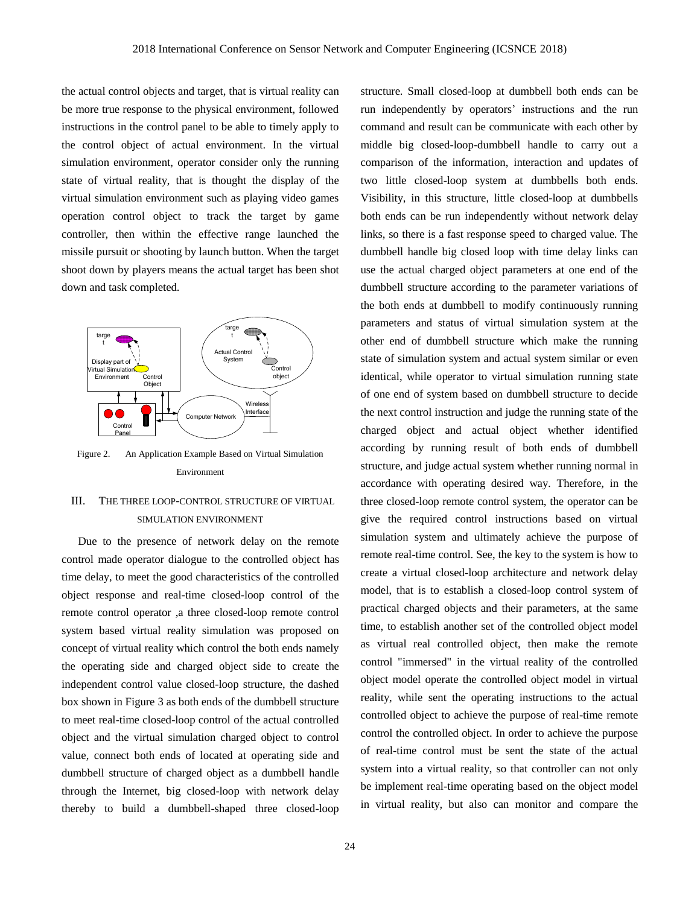the actual control objects and target, that is virtual reality can be more true response to the physical environment, followed instructions in the control panel to be able to timely apply to the control object of actual environment. In the virtual simulation environment, operator consider only the running state of virtual reality, that is thought the display of the virtual simulation environment such as playing video games operation control object to track the target by game controller, then within the effective range launched the missile pursuit or shooting by launch button. When the target shoot down by players means the actual target has been shot down and task completed.



Figure 2. An Application Example Based on Virtual Simulation Environment

### III. THE THREE LOOP-CONTROL STRUCTURE OF VIRTUAL SIMULATION ENVIRONMENT

Due to the presence of network delay on the remote control made operator dialogue to the controlled object has time delay, to meet the good characteristics of the controlled object response and real-time closed-loop control of the remote control operator ,a three closed-loop remote control system based virtual reality simulation was proposed on concept of virtual reality which control the both ends namely the operating side and charged object side to create the independent control value closed-loop structure, the dashed box shown in Figure 3 as both ends of the dumbbell structure to meet real-time closed-loop control of the actual controlled object and the virtual simulation charged object to control value, connect both ends of located at operating side and dumbbell structure of charged object as a dumbbell handle through the Internet, big closed-loop with network delay thereby to build a dumbbell-shaped three closed-loop run independently by operators' instructions and the run command and result can be communicate with each other by middle big closed-loop-dumbbell handle to carry out a comparison of the information, interaction and updates of two little closed-loop system at dumbbells both ends. Visibility, in this structure, little closed-loop at dumbbells both ends can be run independently without network delay links, so there is a fast response speed to charged value. The dumbbell handle big closed loop with time delay links can use the actual charged object parameters at one end of the dumbbell structure according to the parameter variations of the both ends at dumbbell to modify continuously running parameters and status of virtual simulation system at the other end of dumbbell structure which make the running state of simulation system and actual system similar or even identical, while operator to virtual simulation running state of one end of system based on dumbbell structure to decide the next control instruction and judge the running state of the charged object and actual object whether identified according by running result of both ends of dumbbell structure, and judge actual system whether running normal in accordance with operating desired way. Therefore, in the three closed-loop remote control system, the operator can be give the required control instructions based on virtual simulation system and ultimately achieve the purpose of remote real-time control. See, the key to the system is how to create a virtual closed-loop architecture and network delay model, that is to establish a closed-loop control system of practical charged objects and their parameters, at the same time, to establish another set of the controlled object model as virtual real controlled object, then make the remote control "immersed" in the virtual reality of the controlled object model operate the controlled object model in virtual reality, while sent the operating instructions to the actual controlled object to achieve the purpose of real-time remote control the controlled object. In order to achieve the purpose of real-time control must be sent the state of the actual system into a virtual reality, so that controller can not only be implement real-time operating based on the object model in virtual reality, but also can monitor and compare the

structure. Small closed-loop at dumbbell both ends can be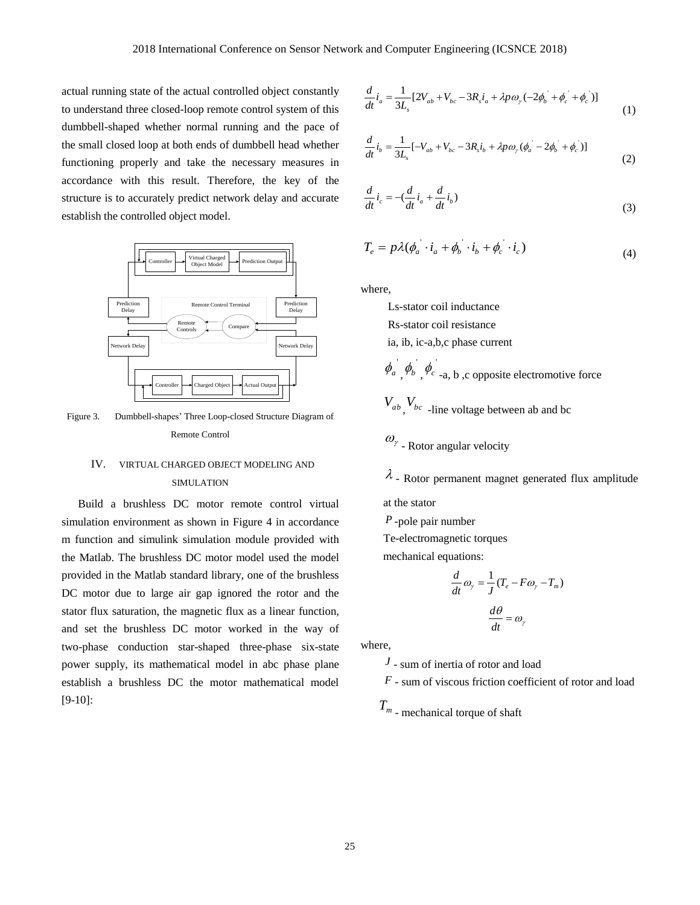actual running state of the actual controlled object constantly to understand three closed-loop remote control system of this dumbbell-shaped whether normal running and the pace of the small closed loop at both ends of dumbbell head whether functioning properly and take the necessary measures in accordance with this result. Therefore, the key of the structure is to accurately predict network delay and accurate establish the controlled object model.



Figure 3. Dumbbell-shapes' Three Loop-closed Structure Diagram of Remote Control

### IV. VIRTUAL CHARGED OBJECT MODELING AND SIMULATION

Build a brushless DC motor remote control virtual simulation environment as shown in Figure 4 in accordance m function and simulink simulation module provided with the Matlab. The brushless DC motor model used the model provided in the Matlab standard library, one of the brushless DC motor due to large air gap ignored the rotor and the stator flux saturation, the magnetic flux as a linear function, and set the brushless DC motor worked in the way of two-phase conduction star-shaped three-phase six-state power supply, its mathematical model in abc phase plane establish a brushless DC the motor mathematical model [9-10]:

$$
\frac{d}{dt}\dot{i}_a = \frac{1}{3L_s} [2V_{ab} + V_{bc} - 3R_s i_a + \lambda p \omega_y (-2\phi_b + \phi_c + \phi_c)]
$$
\n(1)

$$
\frac{d}{dt}i_b = \frac{1}{3L_s}[-V_{ab} + V_{bc} - 3R_s i_b + \lambda p \omega_r (\phi_a - 2\phi_b + \phi_c)]
$$
\n(2)

$$
\frac{d}{dt}\dot{i}_c = -(\frac{d}{dt}\dot{i}_a + \frac{d}{dt}\dot{i}_b)
$$
\n(3)

$$
T_e = p\lambda(\phi_a \cdot i_a + \phi_b \cdot i_b + \phi_c \cdot i_c)
$$
\n(4)

where,

Ls-stator coil inductance Rs-stator coil resistance ia, ib, ic-a,b,c phase current  $\phi_a^{\dagger}$  $\phi$ <sub>b</sub><sup> $\phi$ </sup>,  $\phi_c$ <sup>'</sup>-a, b ,c opposite electromotive force  $V_{ab}$ ,  $V_{bc}$  -line voltage between ab and bc  $\omega_{\gamma}$  - Rotor angular velocity

 $\lambda$  - Rotor permanent magnet generated flux amplitude

at the stator

*P* -pole pair number

Te-electromagnetic torques

mechanical equations:

$$
\frac{d}{dt}\omega_{\gamma} = \frac{1}{J}(T_e - F\omega_{\gamma} - T_m)
$$

$$
\frac{d\theta}{dt} = \omega_{\gamma}
$$

where,

*J* - sum of inertia of rotor and load

*F* - sum of viscous friction coefficient of rotor and load

*<sup>T</sup><sup>m</sup>* - mechanical torque of shaft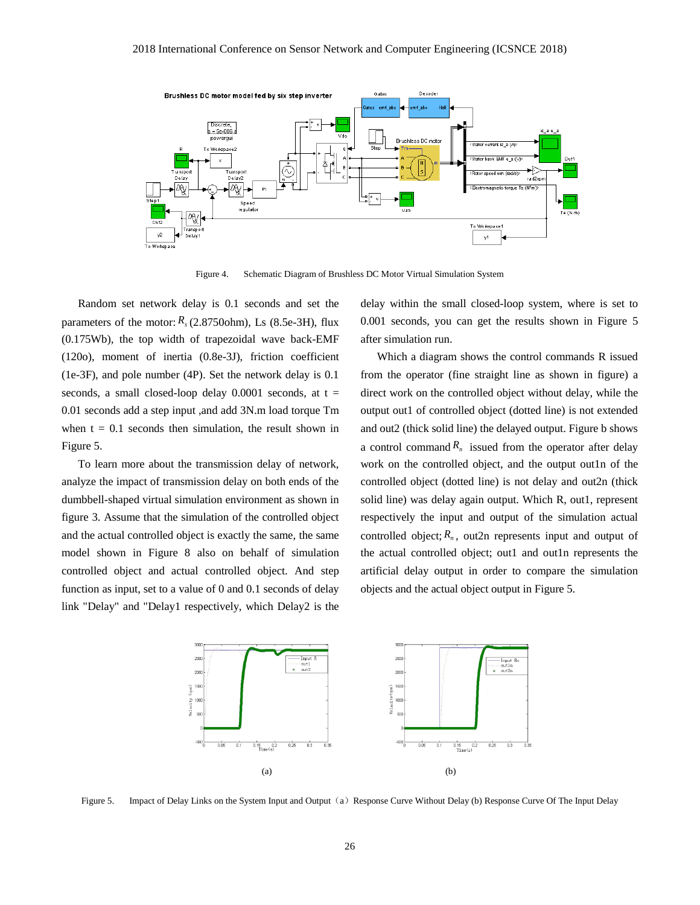

Figure 4. Schematic Diagram of Brushless DC Motor Virtual Simulation System

Random set network delay is 0.1 seconds and set the parameters of the motor:  $R_s$  (2.8750ohm), Ls (8.5e-3H), flux (0.175Wb), the top width of trapezoidal wave back-EMF (120o), moment of inertia (0.8e-3J), friction coefficient (1e-3F), and pole number (4P). Set the network delay is 0.1 seconds, a small closed-loop delay  $0.0001$  seconds, at  $t =$ 0.01 seconds add a step input ,and add 3N.m load torque Tm when  $t = 0.1$  seconds then simulation, the result shown in Figure 5.

To learn more about the transmission delay of network, analyze the impact of transmission delay on both ends of the dumbbell-shaped virtual simulation environment as shown in figure 3. Assume that the simulation of the controlled object and the actual controlled object is exactly the same, the same model shown in Figure 8 also on behalf of simulation controlled object and actual controlled object. And step function as input, set to a value of 0 and 0.1 seconds of delay link "Delay" and "Delay1 respectively, which Delay2 is the

delay within the small closed-loop system, where is set to 0.001 seconds, you can get the results shown in Figure 5 after simulation run.

Which a diagram shows the control commands R issued from the operator (fine straight line as shown in figure) a direct work on the controlled object without delay, while the output out1 of controlled object (dotted line) is not extended and out2 (thick solid line) the delayed output. Figure b shows a control command  $R_n$  issued from the operator after delay work on the controlled object, and the output outln of the controlled object (dotted line) is not delay and out2n (thick solid line) was delay again output. Which R, out1, represent respectively the input and output of the simulation actual controlled object;  $R_n$ , out2n represents input and output of the actual controlled object; out1 and out1n represents the artificial delay output in order to compare the simulation objects and the actual object output in Figure 5.



Figure 5. Impact of Delay Links on the System Input and Output (a) Response Curve Without Delay (b) Response Curve Of The Input Delay